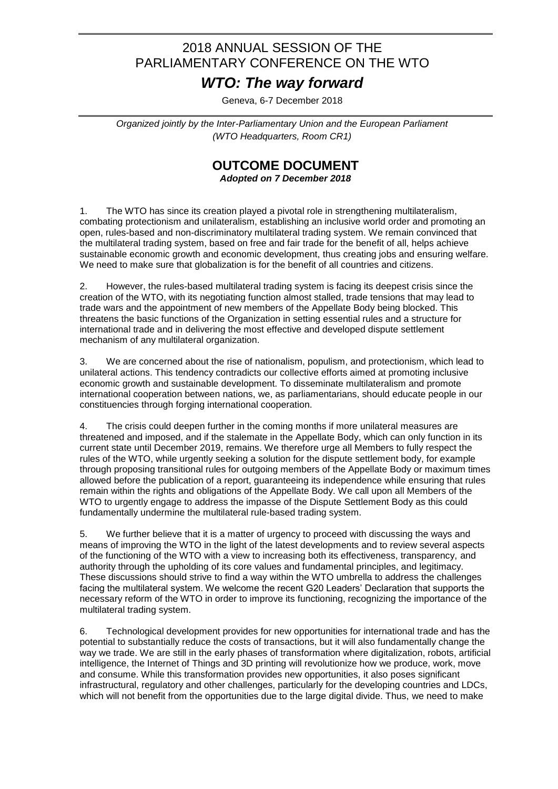## 2018 ANNUAL SESSION OF THE PARLIAMENTARY CONFERENCE ON THE WTO

## *WTO: The way forward*

Geneva, 6-7 December 2018

*Organized jointly by the Inter-Parliamentary Union and the European Parliament (WTO Headquarters, Room CR1)*

## **OUTCOME DOCUMENT**

*Adopted on 7 December 2018*

1. The WTO has since its creation played a pivotal role in strengthening multilateralism, combating protectionism and unilateralism, establishing an inclusive world order and promoting an open, rules-based and non-discriminatory multilateral trading system. We remain convinced that the multilateral trading system, based on free and fair trade for the benefit of all, helps achieve sustainable economic growth and economic development, thus creating jobs and ensuring welfare. We need to make sure that globalization is for the benefit of all countries and citizens.

2. However, the rules-based multilateral trading system is facing its deepest crisis since the creation of the WTO, with its negotiating function almost stalled, trade tensions that may lead to trade wars and the appointment of new members of the Appellate Body being blocked. This threatens the basic functions of the Organization in setting essential rules and a structure for international trade and in delivering the most effective and developed dispute settlement mechanism of any multilateral organization.

3. We are concerned about the rise of nationalism, populism, and protectionism, which lead to unilateral actions. This tendency contradicts our collective efforts aimed at promoting inclusive economic growth and sustainable development. To disseminate multilateralism and promote international cooperation between nations, we, as parliamentarians, should educate people in our constituencies through forging international cooperation.

4. The crisis could deepen further in the coming months if more unilateral measures are threatened and imposed, and if the stalemate in the Appellate Body, which can only function in its current state until December 2019, remains. We therefore urge all Members to fully respect the rules of the WTO, while urgently seeking a solution for the dispute settlement body, for example through proposing transitional rules for outgoing members of the Appellate Body or maximum times allowed before the publication of a report, guaranteeing its independence while ensuring that rules remain within the rights and obligations of the Appellate Body. We call upon all Members of the WTO to urgently engage to address the impasse of the Dispute Settlement Body as this could fundamentally undermine the multilateral rule-based trading system.

5. We further believe that it is a matter of urgency to proceed with discussing the ways and means of improving the WTO in the light of the latest developments and to review several aspects of the functioning of the WTO with a view to increasing both its effectiveness, transparency, and authority through the upholding of its core values and fundamental principles, and legitimacy. These discussions should strive to find a way within the WTO umbrella to address the challenges facing the multilateral system. We welcome the recent G20 Leaders' Declaration that supports the necessary reform of the WTO in order to improve its functioning, recognizing the importance of the multilateral trading system.

6. Technological development provides for new opportunities for international trade and has the potential to substantially reduce the costs of transactions, but it will also fundamentally change the way we trade. We are still in the early phases of transformation where digitalization, robots, artificial intelligence, the Internet of Things and 3D printing will revolutionize how we produce, work, move and consume. While this transformation provides new opportunities, it also poses significant infrastructural, regulatory and other challenges, particularly for the developing countries and LDCs, which will not benefit from the opportunities due to the large digital divide. Thus, we need to make